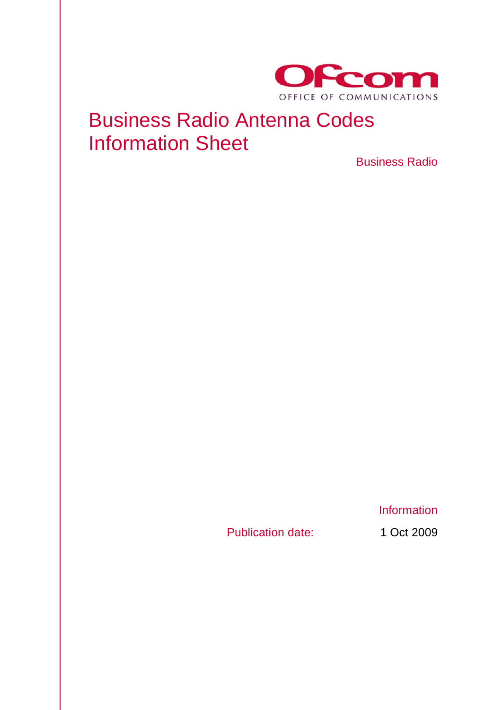

## Business Radio Antenna Codes Information Sheet

Business Radio

Publication date: 1 Oct 2009

**Information**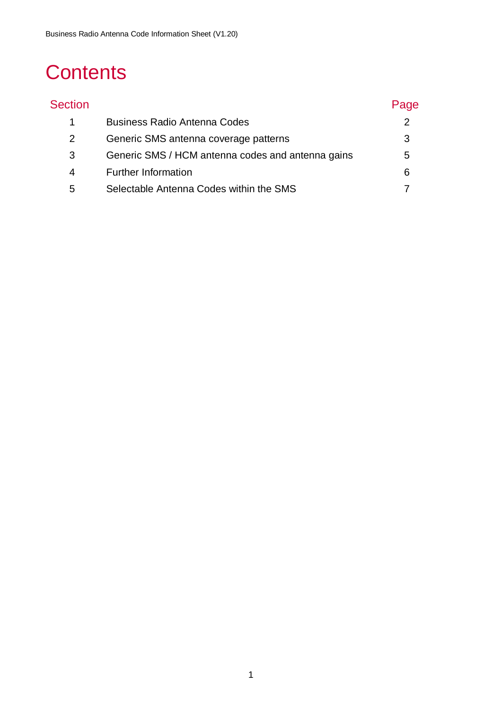# **Contents**

| <b>Section</b> |                                                   | Page |
|----------------|---------------------------------------------------|------|
|                | <b>Business Radio Antenna Codes</b>               |      |
| 2              | Generic SMS antenna coverage patterns             | 3    |
| 3              | Generic SMS / HCM antenna codes and antenna gains | 5    |
| 4              | <b>Further Information</b>                        | 6    |
| 5              | Selectable Antenna Codes within the SMS           |      |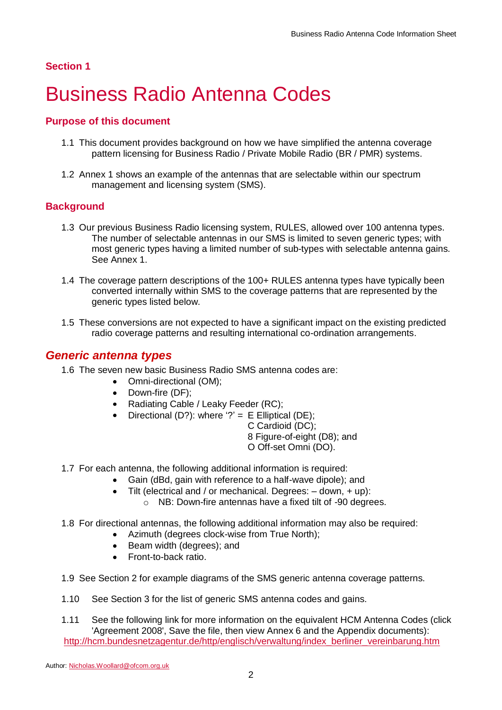# <span id="page-2-0"></span>1 Business Radio Antenna Codes

#### **Purpose of this document**

- 1.1 This document provides background on how we have simplified the antenna coverage pattern licensing for Business Radio / Private Mobile Radio (BR / PMR) systems.
- 1.2 Annex 1 shows an example of the antennas that are selectable within our spectrum management and licensing system (SMS).

#### **Background**

- 1.3 Our previous Business Radio licensing system, RULES, allowed over 100 antenna types. The number of selectable antennas in our SMS is limited to seven generic types; with most generic types having a limited number of sub-types with selectable antenna gains. See Annex 1.
- 1.4 The coverage pattern descriptions of the 100+ RULES antenna types have typically been converted internally within SMS to the coverage patterns that are represented by the generic types listed below.
- 1.5 These conversions are not expected to have a significant impact on the existing predicted radio coverage patterns and resulting international co-ordination arrangements.

#### *Generic antenna types*

- 1.6 The seven new basic Business Radio SMS antenna codes are:
	- Omni-directional (OM):
		- Down-fire (DF):
	- Radiating Cable / Leaky Feeder (RC);
	- Directional (D?): where '?' =  $E$  Elliptical (DE);

C Cardioid (DC);

8 Figure-of-eight (D8); and O Off-set Omni (DO).

- 1.7 For each antenna, the following additional information is required:
	- Gain (dBd, gain with reference to a half-wave dipole); and
		- Tilt (electrical and / or mechanical. Degrees: down, + up):
			- o NB: Down-fire antennas have a fixed tilt of -90 degrees.
- 1.8 For directional antennas, the following additional information may also be required:
	- Azimuth (degrees clock-wise from True North);
	- Beam width (degrees); and
	- Front-to-back ratio.
- 1.9 See Section 2 for example diagrams of the SMS generic antenna coverage patterns.
- 1.10 See Section 3 for the list of generic SMS antenna codes and gains.
- 1.11 See the following link for more information on the equivalent HCM Antenna Codes (click 'Agreement 2008', Save the file, then view Annex 6 and the Appendix documents): [http://hcm.bundesnetzagentur.de/http/englisch/verwaltung/index\\_berliner\\_vereinbarung.htm](http://hcm.bundesnetzagentur.de/http/englisch/verwaltung/index_berliner_vereinbarung.htm)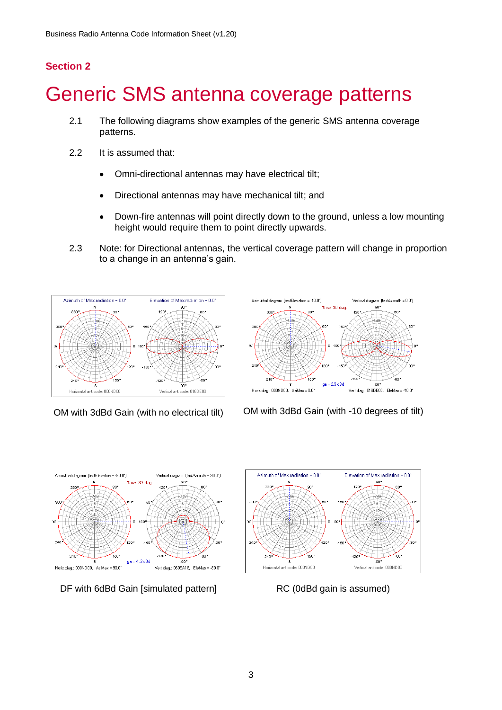## <span id="page-3-0"></span>Generic SMS antenna coverage patterns

- 2.1 The following diagrams show examples of the generic SMS antenna coverage patterns.
- 2.2 It is assumed that:
	- Omni-directional antennas may have electrical tilt;  $\bullet$
	- Directional antennas may have mechanical tilt; and
	- Down-fire antennas will point directly down to the ground, unless a low mounting  $\bullet$ height would require them to point directly upwards.
- 2.3 Note: for Directional antennas, the vertical coverage pattern will change in proportion to a change in an antenna's gain.





OM with 3dBd Gain (with no electrical tilt) OM with 3dBd Gain (with -10 degrees of tilt)



DF with 6dBd Gain [simulated pattern] RC (0dBd gain is assumed)

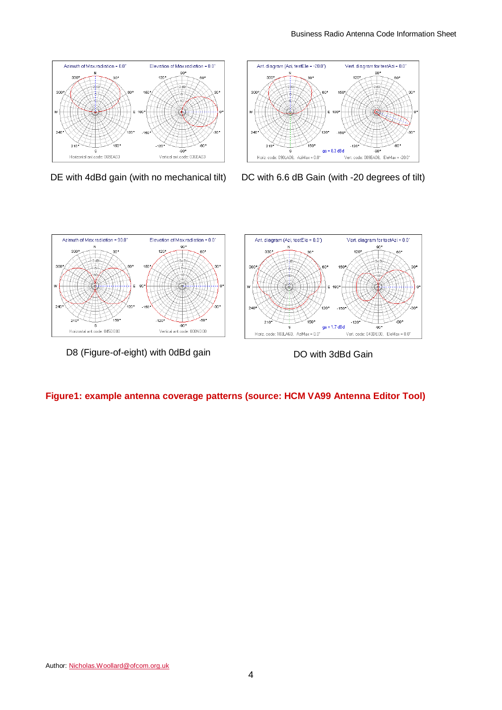



DE with 4dBd gain (with no mechanical tilt) DC with 6.6 dB Gain (with -20 degrees of tilt)



D8 (Figure-of-eight) with 0dBd gain DO with 3dBd Gain

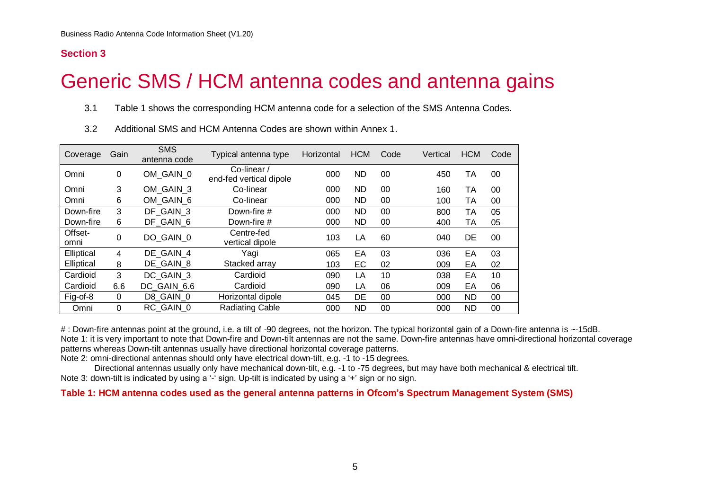## Generic SMS / HCM antenna codes and antenna gains

3.1 [Table 1](#page-5-1) shows the corresponding HCM antenna code for a selection of the SMS Antenna Codes.

| Coverage        | Gain        | <b>SMS</b><br>antenna code | Typical antenna type                   | Horizontal | <b>HCM</b> | Code | Vertical | <b>HCM</b> | Code |
|-----------------|-------------|----------------------------|----------------------------------------|------------|------------|------|----------|------------|------|
| Omni            | 0           | OM GAIN 0                  | Co-linear /<br>end-fed vertical dipole | 000        | <b>ND</b>  | 00   | 450      | TA         | 00   |
| Omni            | 3           | OM GAIN 3                  | Co-linear                              | 000        | ND.        | 00   | 160      | ТA         | 00   |
| Omni            | 6           | OM GAIN 6                  | Co-linear                              | 000        | ND         | 00   | 100      | ТA         | 00   |
| Down-fire       | 3           | DF GAIN 3                  | Down-fire #                            | 000        | ND         | 00   | 800      | TA         | 05   |
| Down-fire       | 6           | DF GAIN 6                  | Down-fire #                            | 000        | <b>ND</b>  | 00   | 400      | TA         | 05   |
| Offset-<br>omni | $\Omega$    | DO GAIN 0                  | Centre-fed<br>vertical dipole          | 103        | LA         | 60   | 040      | DE         | 00   |
| Elliptical      | 4           | DE GAIN 4                  | Yagi                                   | 065        | EA         | 03   | 036      | EA         | 03   |
| Elliptical      | 8           | DE GAIN 8                  | Stacked array                          | 103        | EC         | 02   | 009      | EA         | 02   |
| Cardioid        | 3           | DC GAIN 3                  | Cardioid                               | 090        | LA         | 10   | 038      | EA         | 10   |
| Cardioid        | 6.6         | DC GAIN_6.6                | Cardioid                               | 090        | LA         | 06   | 009      | EA         | 06   |
| Fig-of-8        | $\mathbf 0$ | D8 GAIN 0                  | Horizontal dipole                      | 045        | DE         | 00   | 000      | ND         | 00   |
| Omni            | $\Omega$    | RC GAIN 0                  | <b>Radiating Cable</b>                 | 000        | <b>ND</b>  | 00   | 000      | ND         | 00   |

3.2 Additional SMS and HCM Antenna Codes are shown within Annex 1.

<span id="page-5-0"></span>#: Down-fire antennas point at the ground, i.e. a tilt of -90 degrees, not the horizon. The typical horizontal gain of a Down-fire antenna is ~-15dB. Note 1: it is very important to note that Down-fire and Down-tilt antennas are not the same. Down-fire antennas have omni-directional horizontal coverage patterns whereas Down-tilt antennas usually have directional horizontal coverage patterns.

Note 2: omni-directional antennas should only have electrical down-tilt, e.g. -1 to -15 degrees.

Directional antennas usually only have mechanical down-tilt, e.g. -1 to -75 degrees, but may have both mechanical & electrical tilt. Note 3: down-tilt is indicated by using a '-' sign. Up-tilt is indicated by using a '+' sign or no sign.

<span id="page-5-1"></span>**Table 1: HCM antenna codes used as the general antenna patterns in Ofcom's Spectrum Management System (SMS)**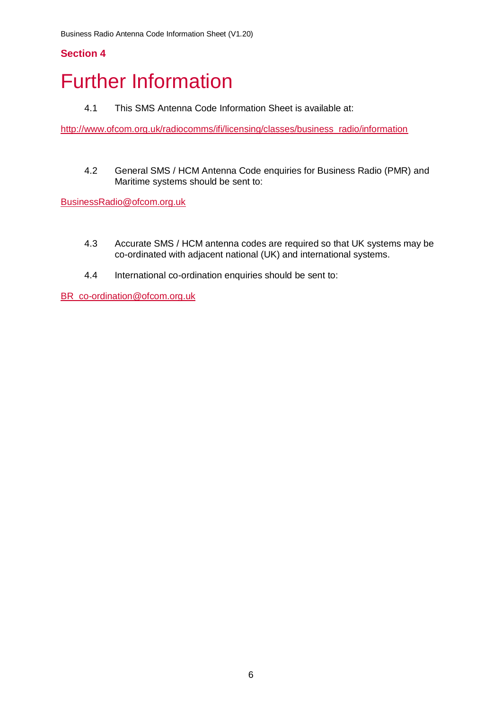## <span id="page-6-0"></span>**Further Information**

4.1 This SMS Antenna Code Information Sheet is available at:

[http://www.ofcom.org.uk/radiocomms/ifi/licensing/classes/business\\_radio/information](http://www.ofcom.org.uk/radiocomms/ifi/licensing/classes/business_radio/information)

4.2 General SMS / HCM Antenna Code enquiries for Business Radio (PMR) and Maritime systems should be sent to:

[BusinessRadio@ofcom.org.uk](mailto:BusinessRadio@ofcom.org.uk)

- 4.3 Accurate SMS / HCM antenna codes are required so that UK systems may be co-ordinated with adjacent national (UK) and international systems.
- 4.4 International co-ordination enquiries should be sent to:

BR\_co-ordination@ofcom.org.uk